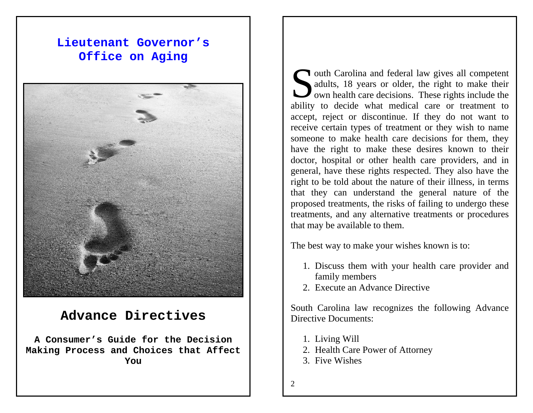# **Lieutenant Governor's Office on Aging**



# **Advance Directives**

**A Consumer's Guide for the Decision Making Process and Choices that Affect You** 

outh Carolina and federal law gives all competent adults, 18 years or older, the right to make their own health care decisions. These rights include the adults, 18 years or older, the right to make their **J** own health care decisions. These rights include the ability to decide what medical care or treatment to accept, reject or discontinue. If they do not want to receive certain types of treatment or they wish to name someone to make health care decisions for them, they have the right to make these desires known to their doctor, hospital or other health care providers, and in general, have these rights respected. They also have the right to be told about the nature of their illness, in terms that they can understand the general nature of the proposed treatments, the risks of failing to undergo these treatments, and any alternative treatments or procedures that may be available to them.

The best way to make your wishes known is to:

- 1. Discuss them with your health care provider and family members
- 2. Execute an Advance Directive

South Carolina law recognizes the following Advance Directive Documents:

- 1. Living Will
- 2. Health Care Power of Attorney
- 3. Five Wishes
- $\mathcal{L}$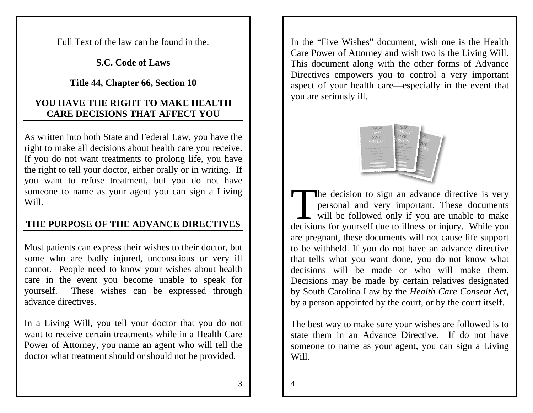Full Text of the law can be found in the:

**S.C. Code of Laws** 

**Title 44, Chapter 66, Section 10**

## **YOU HAVE THE RIGHT TO MAKE HEALTH CARE DECISIONS THAT AFFECT YOU**

As written into both State and Federal Law, you have the right to make all decisions about health care you receive. If you do not want treatments to prolong life, you have the right to tell your doctor, either orally or in writing. If you want to refuse treatment, but you do not have someone to name as your agent you can sign a Living Will.

## **THE PURPOSE OF THE ADVANCE DIRECTIVES**

Most patients can express their wishes to their doctor, but some who are badly injured, unconscious or very ill cannot. People need to know your wishes about health care in the event you become unable to speak for yourself. These wishes can be expressed through advance directives.

In a Living Will, you tell your doctor that you do not want to receive certain treatments while in a Health Care Power of Attorney, you name an agent who will tell the doctor what treatment should or should not be provided.

In the "Five Wishes" document, wish one is the Health Care Power of Attorney and wish two is the Living Will. This document along with the other forms of Advance Directives empowers you to control a very important aspect of your health care—especially in the event that you are seriously ill.



The decision to sign an advance directive is very personal and very important. These documents The decision to sign an advance directive is very personal and very important. These documents will be followed only if you are unable to make decisions for yourself due to illness or injury. While you are pregnant, these documents will not cause life support to be withheld. If you do not have an advance directive that tells what you want done, you do not know what decisions will be made or who will make them. Decisions may be made by certain relatives designated by South Carolina Law by the *Health Care Consent Act,* by a person appointed by the court, or by the court itself.

The best way to make sure your wishes are followed is to state them in an Advance Directive. If do not have someone to name as your agent, you can sign a Living Will.

 $\Delta$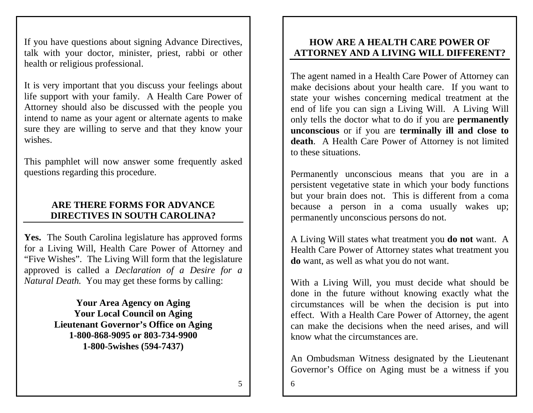If you have questions about signing Advance Directives, talk with your doctor, minister, priest, rabbi or other health or religious professional.

It is very important that you discuss your feelings about life support with your family. A Health Care Power of Attorney should also be discussed with the people you intend to name as your agent or alternate agents to make sure they are willing to serve and that they know your wishes.

This pamphlet will now answer some frequently asked questions regarding this procedure.

### **ARE THERE FORMS FOR ADVANCE DIRECTIVES IN SOUTH CAROLINA?**

**Yes.** The South Carolina legislature has approved forms for a Living Will, Health Care Power of Attorney and "Five Wishes". The Living Will form that the legislature approved is called a *Declaration of a Desire for a Natural Death.* You may get these forms by calling:

> **Your Area Agency on Aging Your Local Council on Aging Lieutenant Governor's Office on Aging 1-800-868-9095 or 803-734-9900 1-800-5wishes (594-7437)**

#### **HOW ARE A HEALTH CARE POWER OF ATTORNEY AND A LIVING WILL DIFFERENT?**

The agent named in a Health Care Power of Attorney can make decisions about your health care. If you want to state your wishes concerning medical treatment at the end of life you can sign a Living Will. A Living Will only tells the doctor what to do if you are **permanently unconscious** or if you are **terminally ill and close to death**. A Health Care Power of Attorney is not limited to these situations.

Permanently unconscious means that you are in a persistent vegetative state in which your body functions but your brain does not. This is different from a coma because a person in a coma usually wakes up; permanently unconscious persons do not.

A Living Will states what treatment you **do not** want. A Health Care Power of Attorney states what treatment you **do** want, as well as what you do not want.

With a Living Will, you must decide what should be done in the future without knowing exactly what the circumstances will be when the decision is put into effect. With a Health Care Power of Attorney, the agent can make the decisions when the need arises, and will know what the circumstances are.

An Ombudsman Witness designated by the Lieutenant Governor's Office on Aging must be a witness if you

5

6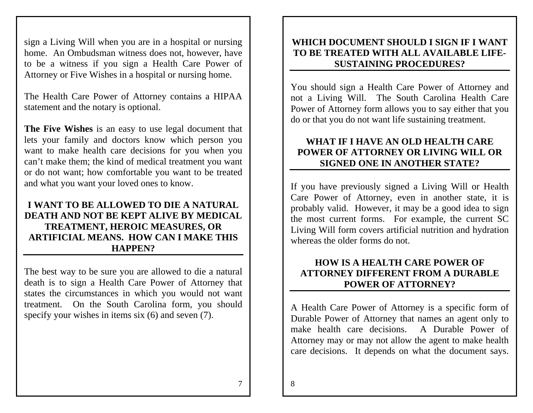sign a Living Will when you are in a hospital or nursing home. An Ombudsman witness does not, however, have to be a witness if you sign a Health Care Power of Attorney or Five Wishes in a hospital or nursing home.

The Health Care Power of Attorney contains a HIPAA statement and the notary is optional.

**The Five Wishes** is an easy to use legal document that lets your family and doctors know which person you want to make health care decisions for you when you can't make them; the kind of medical treatment you want or do not want; how comfortable you want to be treated and what you want your loved ones to know.

#### **I WANT TO BE ALLOWED TO DIE A NATURAL DEATH AND NOT BE KEPT ALIVE BY MEDICAL TREATMENT, HEROIC MEASURES, OR ARTIFICIAL MEANS. HOW CAN I MAKE THIS HAPPEN?**

The best way to be sure you are allowed to die a natural death is to sign a Health Care Power of Attorney that states the circumstances in which you would not want treatment. On the South Carolina form, you should specify your wishes in items six (6) and seven (7).

#### **WHICH DOCUMENT SHOULD I SIGN IF I WANT TO BE TREATED WITH ALL AVAILABLE LIFE-SUSTAINING PROCEDURES?**

You should sign a Health Care Power of Attorney and not a Living Will. The South Carolina Health Care Power of Attorney form allows you to say either that you do or that you do not want life sustaining treatment.

#### **WHAT IF I HAVE AN OLD HEALTH CARE POWER OF ATTORNEY OR LIVING WILL OR SIGNED ONE IN ANOTHER STATE?**

If you have previously signed a Living Will or Health Care Power of Attorney, even in another state, it is probably valid. However, it may be a good idea to sign the most current forms. For example, the current SC Living Will form covers artificial nutrition and hydration whereas the older forms do not.

#### **HOW IS A HEALTH CARE POWER OF ATTORNEY DIFFERENT FROM A DURABLE POWER OF ATTORNEY?**

A Health Care Power of Attorney is a specific form of Durable Power of Attorney that names an agent only to make health care decisions. A Durable Power of Attorney may or may not allow the agent to make health care decisions. It depends on what the document says.

7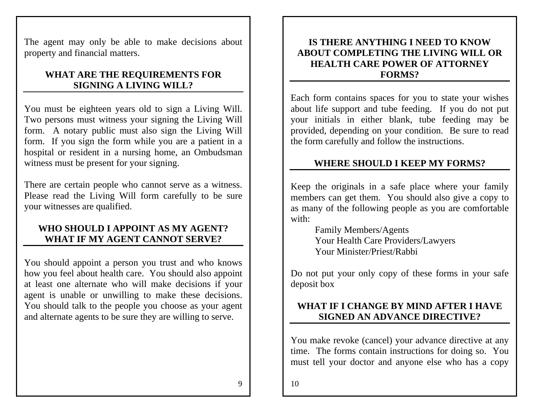The agent may only be able to make decisions about property and financial matters.

#### **WHAT ARE THE REQUIREMENTS FOR SIGNING A LIVING WILL?**

You must be eighteen years old to sign a Living Will. Two persons must witness your signing the Living Will form. A notary public must also sign the Living Will form. If you sign the form while you are a patient in a hospital or resident in a nursing home, an Ombudsman witness must be present for your signing.

There are certain people who cannot serve as a witness. Please read the Living Will form carefully to be sure your witnesses are qualified.

#### **WHO SHOULD I APPOINT AS MY AGENT? WHAT IF MY AGENT CANNOT SERVE?**

You should appoint a person you trust and who knows how you feel about health care. You should also appoint at least one alternate who will make decisions if your agent is unable or unwilling to make these decisions. You should talk to the people you choose as your agent and alternate agents to be sure they are willing to serve.

#### **IS THERE ANYTHING I NEED TO KNOW ABOUT COMPLETING THE LIVING WILL OR HEALTH CARE POWER OF ATTORNEY FORMS?**

Each form contains spaces for you to state your wishes about life support and tube feeding. If you do not put your initials in either blank, tube feeding may be provided, depending on your condition. Be sure to read the form carefully and follow the instructions.

#### **WHERE SHOULD I KEEP MY FORMS?**

Keep the originals in a safe place where your family members can get them. You should also give a copy to as many of the following people as you are comfortable with:

> Family Members/Agents Your Health Care Providers/Lawyers Your Minister/Priest/Rabbi

Do not put your only copy of these forms in your safe deposit box

## **WHAT IF I CHANGE BY MIND AFTER I HAVE SIGNED AN ADVANCE DIRECTIVE?**

You make revoke (cancel) your advance directive at any time. The forms contain instructions for doing so. You must tell your doctor and anyone else who has a copy